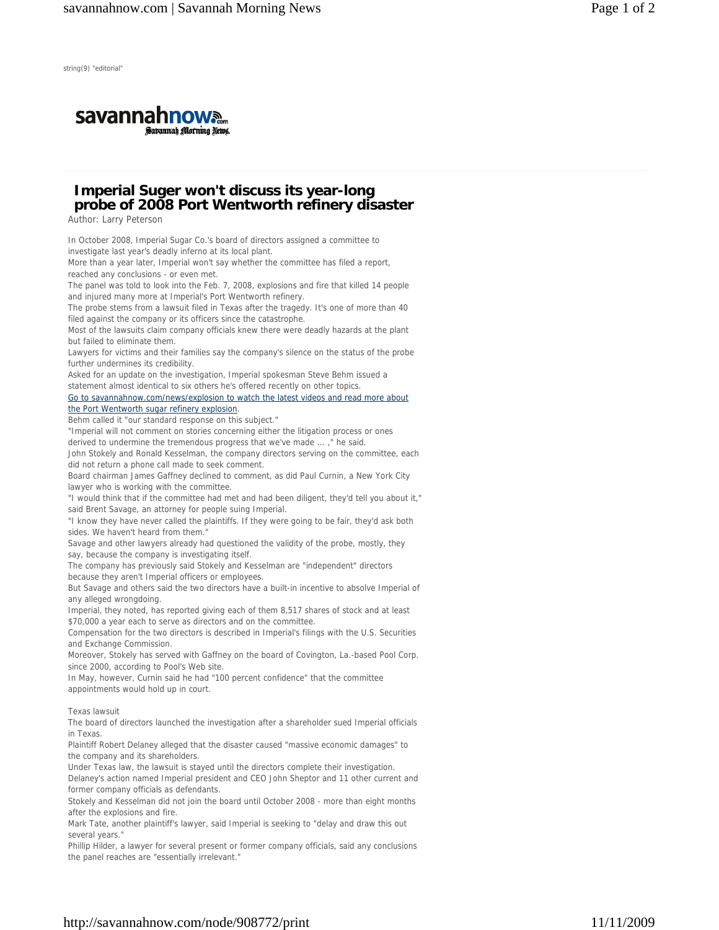

## **Imperial Suger won't discuss its year-long probe of 2008 Port Wentworth refinery disaster**

Author: Larry Peterson

In October 2008, Imperial Sugar Co.'s board of directors assigned a committee to investigate last year's deadly inferno at its local plant. More than a year later, Imperial won't say whether the committee has filed a report, reached any conclusions - or even met. The panel was told to look into the Feb. 7, 2008, explosions and fire that killed 14 people and injured many more at Imperial's Port Wentworth refinery. The probe stems from a lawsuit filed in Texas after the tragedy. It's one of more than 40 filed against the company or its officers since the catastrophe. Most of the lawsuits claim company officials knew there were deadly hazards at the plant but failed to eliminate them. Lawyers for victims and their families say the company's silence on the status of the probe further undermines its credibility. Asked for an update on the investigation, Imperial spokesman Steve Behm issued a statement almost identical to six others he's offered recently on other topics. Go to savannahnow.com/news/explosion to watch the latest videos and read more about the Port Wentworth sugar refinery explosion. Behm called it "our standard response on this subject." "Imperial will not comment on stories concerning either the litigation process or ones derived to undermine the tremendous progress that we've made ... ," he said. John Stokely and Ronald Kesselman, the company directors serving on the committee, each did not return a phone call made to seek comment. Board chairman James Gaffney declined to comment, as did Paul Curnin, a New York City lawyer who is working with the committee. "I would think that if the committee had met and had been diligent, they'd tell you about it," said Brent Savage, an attorney for people suing Imperial. "I know they have never called the plaintiffs. If they were going to be fair, they'd ask both sides. We haven't heard from them." Savage and other lawyers already had questioned the validity of the probe, mostly, they say, because the company is investigating itself. The company has previously said Stokely and Kesselman are "independent" directors because they aren't Imperial officers or employees. But Savage and others said the two directors have a built-in incentive to absolve Imperial of any alleged wrongdoing. Imperial, they noted, has reported giving each of them 8,517 shares of stock and at least \$70,000 a year each to serve as directors and on the committee. Compensation for the two directors is described in Imperial's filings with the U.S. Securities and Exchange Commission. Moreover, Stokely has served with Gaffney on the board of Covington, La.-based Pool Corp. since 2000, according to Pool's Web site. In May, however, Curnin said he had "100 percent confidence" that the committee appointments would hold up in court. Texas lawsuit The board of directors launched the investigation after a shareholder sued Imperial officials in Texas. Plaintiff Robert Delaney alleged that the disaster caused "massive economic damages" to the company and its shareholders. Under Texas law, the lawsuit is stayed until the directors complete their investigation. Delaney's action named Imperial president and CEO John Sheptor and 11 other current and former company officials as defendants. Stokely and Kesselman did not join the board until October 2008 - more than eight months after the explosions and fire. Mark Tate, another plaintiff's lawyer, said Imperial is seeking to "delay and draw this out several years." Phillip Hilder, a lawyer for several present or former company officials, said any conclusions

the panel reaches are "essentially irrelevant."